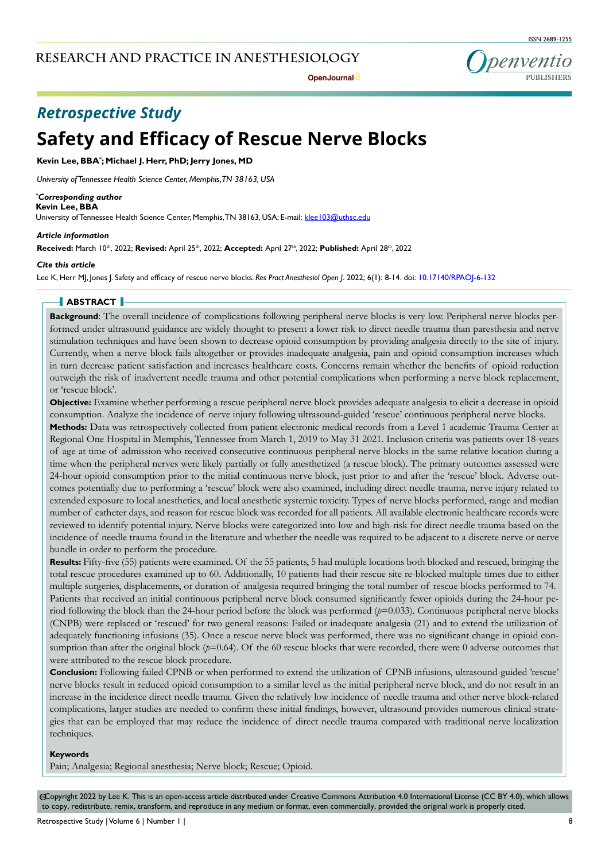## **Research and Practice in ANESTHESIOLOGY**

**Open Journal**

ISSN 2689-1255



## *Retrospective Study*

# **Safety and Efficacy of Rescue Nerve Blocks**

**Kevin Lee, BBA\* ; Michael J. Herr, PhD; Jerry Jones, MD**

*University of Tennessee Health Science Center, Memphis, TN 38163, USA*

#### *\* Corresponding author*

**Kevin Lee, BBA**

University of Tennessee Health Science Center, Memphis, TN 38163, USA; E-mail: klee103@uthsc.edu

#### *Article information*

**Received:** March 10th, 2022; **Revised:** April 25th, 2022; **Accepted:** April 27th, 2022; **Published:** April 28th, 2022

#### *Cite this article*

Lee K, Herr MJ, Jones J. Safety and efficacy of rescue nerve blocks. *Res Pract Anesthesiol Open J*. 2022; 6(1): 8-14. doi: [10.17140/RPAOJ-6-132](http://dx.doi.org/10.17140/RPAOJ-6-132)

#### **ABSTRACT**

**Background**: The overall incidence of complications following peripheral nerve blocks is very low. Peripheral nerve blocks performed under ultrasound guidance are widely thought to present a lower risk to direct needle trauma than paresthesia and nerve stimulation techniques and have been shown to decrease opioid consumption by providing analgesia directly to the site of injury. Currently, when a nerve block fails altogether or provides inadequate analgesia, pain and opioid consumption increases which in turn decrease patient satisfaction and increases healthcare costs. Concerns remain whether the benefits of opioid reduction outweigh the risk of inadvertent needle trauma and other potential complications when performing a nerve block replacement, or 'rescue block'.

**Objective:** Examine whether performing a rescue peripheral nerve block provides adequate analgesia to elicit a decrease in opioid consumption. Analyze the incidence of nerve injury following ultrasound-guided 'rescue' continuous peripheral nerve blocks.

**Methods:** Data was retrospectively collected from patient electronic medical records from a Level 1 academic Trauma Center at Regional One Hospital in Memphis, Tennessee from March 1, 2019 to May 31 2021. Inclusion criteria was patients over 18-years of age at time of admission who received consecutive continuous peripheral nerve blocks in the same relative location during a time when the peripheral nerves were likely partially or fully anesthetized (a rescue block). The primary outcomes assessed were 24-hour opioid consumption prior to the initial continuous nerve block, just prior to and after the 'rescue' block. Adverse outcomes potentially due to performing a 'rescue' block were also examined, including direct needle trauma, nerve injury related to extended exposure to local anesthetics, and local anesthetic systemic toxicity. Types of nerve blocks performed, range and median number of catheter days, and reason for rescue block was recorded for all patients. All available electronic healthcare records were reviewed to identify potential injury. Nerve blocks were categorized into low and high-risk for direct needle trauma based on the incidence of needle trauma found in the literature and whether the needle was required to be adjacent to a discrete nerve or nerve bundle in order to perform the procedure.

**Results:** Fifty-five (55) patients were examined. Of the 55 patients, 5 had multiple locations both blocked and rescued, bringing the total rescue procedures examined up to 60. Additionally, 10 patients had their rescue site re-blocked multiple times due to either multiple surgeries, displacements, or duration of analgesia required bringing the total number of rescue blocks performed to 74. Patients that received an initial continuous peripheral nerve block consumed significantly fewer opioids during the 24-hour period following the block than the 24-hour period before the block was performed ( $p=0.033$ ). Continuous peripheral nerve blocks (CNPB) were replaced or 'rescued' for two general reasons: Failed or inadequate analgesia (21) and to extend the utilization of adequately functioning infusions (35). Once a rescue nerve block was performed, there was no significant change in opioid consumption than after the original block ( $p=0.64$ ). Of the 60 rescue blocks that were recorded, there were 0 adverse outcomes that were attributed to the rescue block procedure.

**Conclusion:** Following failed CPNB or when performed to extend the utilization of CPNB infusions, ultrasound-guided 'rescue' nerve blocks result in reduced opioid consumption to a similar level as the initial peripheral nerve block, and do not result in an increase in the incidence direct needle trauma. Given the relatively low incidence of needle trauma and other nerve block-related complications, larger studies are needed to confirm these initial findings, however, ultrasound provides numerous clinical strategies that can be employed that may reduce the incidence of direct needle trauma compared with traditional nerve localization techniques.

#### **Keywords**

Pain; Analgesia; Regional anesthesia; Nerve block; Rescue; Opioid.

cc Copyright 2022 by Lee K. This is an open-access article distributed under Creative Commons Attribution 4.0 International License [\(CC BY 4.0](https://creativecommons.org/licenses/by/4.0/)), which allows to copy, redistribute, remix, transform, and reproduce in any medium or format, even commercially, provided the original work is properly cited.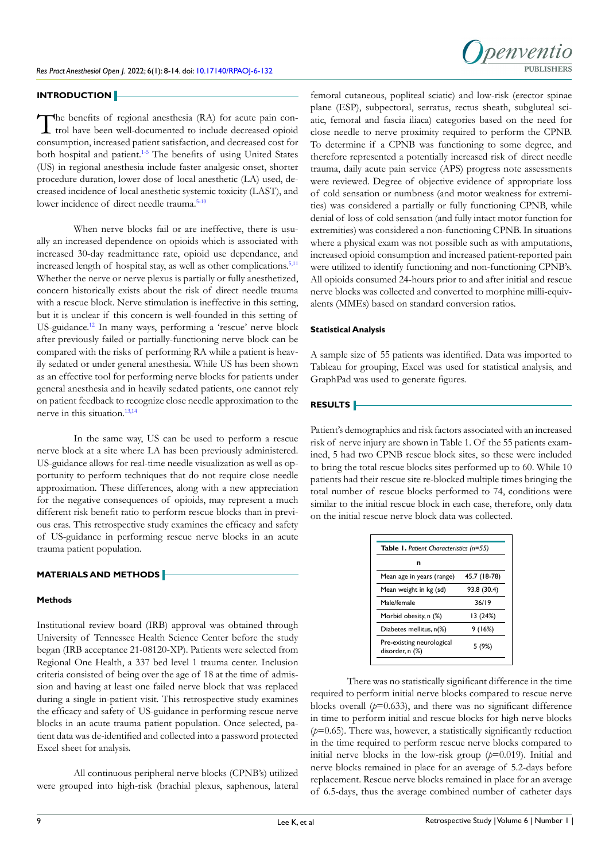#### **INTRODUCTION**

The benefits of regional anesthesia (RA) for acute pain con-**L** trol have been well-documented to include decreased opioid consumption, increased patient satisfaction, and decreased cost for both hospital and patient.[1-5](#page-5-0) The benefits of using United States (US) in regional anesthesia include faster analgesic onset, shorter procedure duration, lower dose of local anesthetic (LA) used, decreased incidence of local anesthetic systemic toxicity (LAST), and lower incidence of direct needle trauma.<sup>[5-10](#page-5-1)</sup>

When nerve blocks fail or are ineffective, there is usually an increased dependence on opioids which is associated with increased 30-day readmittance rate, opioid use dependance, and increased length of hospital stay, as well as other complications.<sup>[5,](#page-5-1)[11](#page-6-0)</sup> Whether the nerve or nerve plexus is partially or fully anesthetized, concern historically exists about the risk of direct needle trauma with a rescue block. Nerve stimulation is ineffective in this setting, but it is unclear if this concern is well-founded in this setting of US-guidance.[12](#page-6-1) In many ways, performing a 'rescue' nerve block after previously failed or partially-functioning nerve block can be compared with the risks of performing RA while a patient is heavily sedated or under general anesthesia. While US has been shown as an effective tool for performing nerve blocks for patients under general anesthesia and in heavily sedated patients, one cannot rely on patient feedback to recognize close needle approximation to the nerve in this situation.<sup>[13,14](#page-6-2)</sup>

In the same way, US can be used to perform a rescue nerve block at a site where LA has been previously administered. US-guidance allows for real-time needle visualization as well as opportunity to perform techniques that do not require close needle approximation. These differences, along with a new appreciation for the negative consequences of opioids, may represent a much different risk benefit ratio to perform rescue blocks than in previous eras. This retrospective study examines the efficacy and safety of US-guidance in performing rescue nerve blocks in an acute trauma patient population.

#### **MATERIALS AND METHODS**

#### **Methods**

Institutional review board (IRB) approval was obtained through University of Tennessee Health Science Center before the study began (IRB acceptance 21-08120-XP). Patients were selected from Regional One Health, a 337 bed level 1 trauma center. Inclusion criteria consisted of being over the age of 18 at the time of admission and having at least one failed nerve block that was replaced during a single in-patient visit. This retrospective study examines the efficacy and safety of US-guidance in performing rescue nerve blocks in an acute trauma patient population. Once selected, patient data was de-identified and collected into a password protected Excel sheet for analysis.

All continuous peripheral nerve blocks (CPNB's) utilized were grouped into high-risk (brachial plexus, saphenous, lateral



femoral cutaneous, popliteal sciatic) and low-risk (erector spinae plane (ESP), subpectoral, serratus, rectus sheath, subgluteal sciatic, femoral and fascia iliaca) categories based on the need for close needle to nerve proximity required to perform the CPNB. To determine if a CPNB was functioning to some degree, and therefore represented a potentially increased risk of direct needle trauma, daily acute pain service (APS) progress note assessments were reviewed. Degree of objective evidence of appropriate loss of cold sensation or numbness (and motor weakness for extremities) was considered a partially or fully functioning CPNB, while denial of loss of cold sensation (and fully intact motor function for extremities) was considered a non-functioning CPNB. In situations where a physical exam was not possible such as with amputations, increased opioid consumption and increased patient-reported pain were utilized to identify functioning and non-functioning CPNB's. All opioids consumed 24-hours prior to and after initial and rescue nerve blocks was collected and converted to morphine milli-equivalents (MMEs) based on standard conversion ratios.

#### **Statistical Analysis**

A sample size of 55 patients was identified. Data was imported to Tableau for grouping, Excel was used for statistical analysis, and GraphPad was used to generate figures.

#### **RESULTS**

Patient's demographics and risk factors associated with an increased risk of nerve injury are shown in Table 1. Of the 55 patients examined, 5 had two CPNB rescue block sites, so these were included to bring the total rescue blocks sites performed up to 60. While 10 patients had their rescue site re-blocked multiple times bringing the total number of rescue blocks performed to 74, conditions were similar to the initial rescue block in each case, therefore, only data on the initial rescue nerve block data was collected.

| <b>Table 1.</b> Patient Characteristics (n=55) |
|------------------------------------------------|
|                                                |
|                                                |
| 45.7 (18-78)                                   |
| 93.8 (30.4)                                    |
| 36/19                                          |
| 13 (24%)                                       |
| 9 (16%)                                        |
| 5 (9%)                                         |
|                                                |

There was no statistically significant difference in the time required to perform initial nerve blocks compared to rescue nerve blocks overall  $(p=0.633)$ , and there was no significant difference in time to perform initial and rescue blocks for high nerve blocks  $(p=0.65)$ . There was, however, a statistically significantly reduction in the time required to perform rescue nerve blocks compared to initial nerve blocks in the low-risk group  $(p=0.019)$ . Initial and nerve blocks remained in place for an average of 5.2-days before replacement. Rescue nerve blocks remained in place for an average of 6.5-days, thus the average combined number of catheter days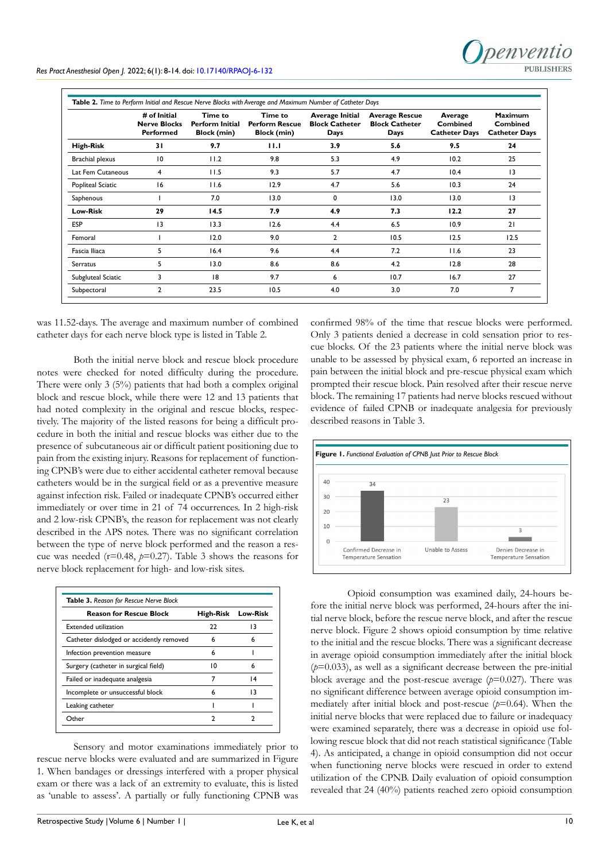

#### *Res Pract Anesthesiol Open J.* 2022; 6(1): 8-14. doi: [10.17140/RPAOJ-6-132](http://dx.doi.org/10.17140/RPAOJ-6-132)

|                        | # of Initial<br><b>Nerve Blocks</b><br><b>Performed</b> | Time to<br><b>Perform Initial</b><br><b>Block (min)</b> | Time to<br><b>Perform Rescue</b><br><b>Block (min)</b> | <b>Average Initial</b><br><b>Block Catheter</b><br>Days | <b>Average Rescue</b><br><b>Block Catheter</b><br>Days | Average<br>Combined<br><b>Catheter Days</b> | <b>Maximum</b><br>Combined<br><b>Catheter Days</b> |
|------------------------|---------------------------------------------------------|---------------------------------------------------------|--------------------------------------------------------|---------------------------------------------------------|--------------------------------------------------------|---------------------------------------------|----------------------------------------------------|
| <b>High-Risk</b>       | 31                                                      | 9.7                                                     | 11.1                                                   | 3.9                                                     | 5.6                                                    | 9.5                                         | 24                                                 |
| <b>Brachial plexus</b> | $\overline{10}$                                         | 11.2                                                    | 9.8                                                    | 5.3                                                     | 4.9                                                    | 10.2                                        | 25                                                 |
| Lat Fem Cutaneous      | 4                                                       | 11.5                                                    | 9.3                                                    | 5.7                                                     | 4.7                                                    | 10.4                                        | $\overline{13}$                                    |
| Popliteal Sciatic      | 16                                                      | 11.6                                                    | 12.9                                                   | 4.7                                                     | 5.6                                                    | 10.3                                        | 24                                                 |
| Saphenous              |                                                         | 7.0                                                     | 13.0                                                   | 0                                                       | 13.0                                                   | 13.0                                        | 3                                                  |
| Low-Risk               | 29                                                      | 14.5                                                    | 7.9                                                    | 4.9                                                     | 7.3                                                    | 12.2                                        | 27                                                 |
| <b>ESP</b>             | 3                                                       | 13.3                                                    | 12.6                                                   | 4.4                                                     | 6.5                                                    | 10.9                                        | 21                                                 |
| Femoral                |                                                         | 12.0                                                    | 9.0                                                    | $\overline{2}$                                          | 10.5                                                   | 12.5                                        | 12.5                                               |
| Fascia Iliaca          | 5                                                       | 16.4                                                    | 9.6                                                    | 4.4                                                     | 7.2                                                    | 11.6                                        | 23                                                 |
| Serratus               | 5                                                       | 13.0                                                    | 8.6                                                    | 8.6                                                     | 4.2                                                    | 12.8                                        | 28                                                 |
| Subgluteal Sciatic     | 3                                                       | 18                                                      | 9.7                                                    | 6                                                       | 10.7                                                   | 16.7                                        | 27                                                 |
| Subpectoral            | $\overline{2}$                                          | 23.5                                                    | 10.5                                                   | 4.0                                                     | 3.0                                                    | 7.0                                         | 7                                                  |

was 11.52-days. The average and maximum number of combined catheter days for each nerve block type is listed in Table 2.

Both the initial nerve block and rescue block procedure notes were checked for noted difficulty during the procedure. There were only 3 (5%) patients that had both a complex original block and rescue block, while there were 12 and 13 patients that had noted complexity in the original and rescue blocks, respectively. The majority of the listed reasons for being a difficult procedure in both the initial and rescue blocks was either due to the presence of subcutaneous air or difficult patient positioning due to pain from the existing injury. Reasons for replacement of functioning CPNB's were due to either accidental catheter removal because catheters would be in the surgical field or as a preventive measure against infection risk. Failed or inadequate CPNB's occurred either immediately or over time in 21 of 74 occurrences. In 2 high-risk and 2 low-risk CPNB's, the reason for replacement was not clearly described in the APS notes. There was no significant correlation between the type of nerve block performed and the reason a rescue was needed (r=0.48, *p*=0.27). Table 3 shows the reasons for nerve block replacement for high- and low-risk sites.

| <b>Reason for Rescue Block</b>           | <b>High-Risk</b> | Low-Risk |
|------------------------------------------|------------------|----------|
| <b>Extended utilization</b>              | 22               | 13       |
| Catheter dislodged or accidently removed | 6                | 6        |
| Infection prevention measure             | 6                |          |
| Surgery (catheter in surgical field)     | 10               | 6        |
| Failed or inadequate analgesia           |                  | 14       |
| Incomplete or unsuccessful block         | 6                | 13       |
| Leaking catheter                         |                  |          |
| Other                                    |                  |          |

Sensory and motor examinations immediately prior to rescue nerve blocks were evaluated and are summarized in Figure 1. When bandages or dressings interfered with a proper physical exam or there was a lack of an extremity to evaluate, this is listed as 'unable to assess'. A partially or fully functioning CPNB was

confirmed 98% of the time that rescue blocks were performed. Only 3 patients denied a decrease in cold sensation prior to rescue blocks. Of the 23 patients where the initial nerve block was unable to be assessed by physical exam, 6 reported an increase in pain between the initial block and pre-rescue physical exam which prompted their rescue block. Pain resolved after their rescue nerve block. The remaining 17 patients had nerve blocks rescued without evidence of failed CPNB or inadequate analgesia for previously described reasons in Table 3.



Opioid consumption was examined daily, 24-hours before the initial nerve block was performed, 24-hours after the initial nerve block, before the rescue nerve block, and after the rescue nerve block. Figure 2 shows opioid consumption by time relative to the initial and the rescue blocks. There was a significant decrease in average opioid consumption immediately after the initial block  $(p=0.033)$ , as well as a significant decrease between the pre-initial block average and the post-rescue average (*p*=0.027). There was no significant difference between average opioid consumption immediately after initial block and post-rescue (*p*=0.64). When the initial nerve blocks that were replaced due to failure or inadequacy were examined separately, there was a decrease in opioid use following rescue block that did not reach statistical significance (Table 4). As anticipated, a change in opioid consumption did not occur when functioning nerve blocks were rescued in order to extend utilization of the CPNB. Daily evaluation of opioid consumption revealed that 24 (40%) patients reached zero opioid consumption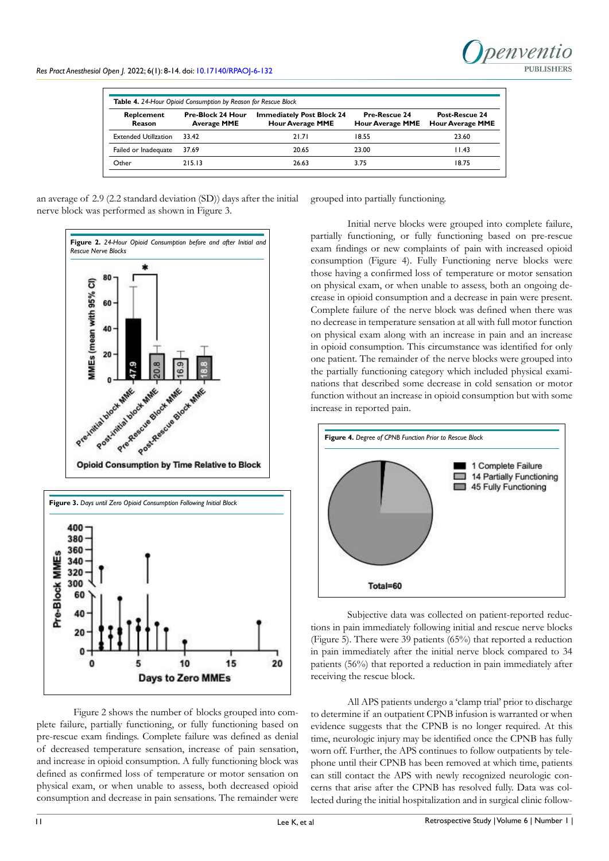

| Table 4. 24-Hour Opioid Consumption by Reason for Rescue Block |                                                |                                                             |                                          |                                           |  |  |  |  |
|----------------------------------------------------------------|------------------------------------------------|-------------------------------------------------------------|------------------------------------------|-------------------------------------------|--|--|--|--|
| <b>Repicement</b><br>Reason                                    | <b>Pre-Block 24 Hour</b><br><b>Average MME</b> | <b>Immediately Post Block 24</b><br><b>Hour Average MME</b> | Pre-Rescue 24<br><b>Hour Average MME</b> | Post-Rescue 24<br><b>Hour Average MME</b> |  |  |  |  |
| <b>Extended Utilization</b>                                    | 33.42                                          | 21.71                                                       | 18.55                                    | 23.60                                     |  |  |  |  |
| Failed or Inadequate                                           | 37.69                                          | 20.65                                                       | 23.00                                    | 11.43                                     |  |  |  |  |
| Other                                                          | 215.13                                         | 26.63                                                       | 3.75                                     | 18.75                                     |  |  |  |  |

an average of 2.9 (2.2 standard deviation (SD)) days after the initial nerve block was performed as shown in Figure 3.





plete failure, partially functioning, or fully functioning based on pre-rescue exam findings. Complete failure was defined as denial of decreased temperature sensation, increase of pain sensation, and increase in opioid consumption. A fully functioning block was defined as confirmed loss of temperature or motor sensation on physical exam, or when unable to assess, both decreased opioid consumption and decrease in pain sensations. The remainder were

grouped into partially functioning.

Initial nerve blocks were grouped into complete failure, partially functioning, or fully functioning based on pre-rescue exam findings or new complaints of pain with increased opioid consumption (Figure 4). Fully Functioning nerve blocks were those having a confirmed loss of temperature or motor sensation on physical exam, or when unable to assess, both an ongoing decrease in opioid consumption and a decrease in pain were present. Complete failure of the nerve block was defined when there was no decrease in temperature sensation at all with full motor function on physical exam along with an increase in pain and an increase in opioid consumption. This circumstance was identified for only one patient. The remainder of the nerve blocks were grouped into the partially functioning category which included physical examinations that described some decrease in cold sensation or motor function without an increase in opioid consumption but with some increase in reported pain.



Subjective data was collected on patient-reported reductions in pain immediately following initial and rescue nerve blocks (Figure 5). There were 39 patients (65%) that reported a reduction in pain immediately after the initial nerve block compared to 34 patients (56%) that reported a reduction in pain immediately after receiving the rescue block.

All APS patients undergo a 'clamp trial' prior to discharge to determine if an outpatient CPNB infusion is warranted or when evidence suggests that the CPNB is no longer required. At this time, neurologic injury may be identified once the CPNB has fully worn off. Further, the APS continues to follow outpatients by telephone until their CPNB has been removed at which time, patients can still contact the APS with newly recognized neurologic concerns that arise after the CPNB has resolved fully. Data was collected during the initial hospitalization and in surgical clinic follow-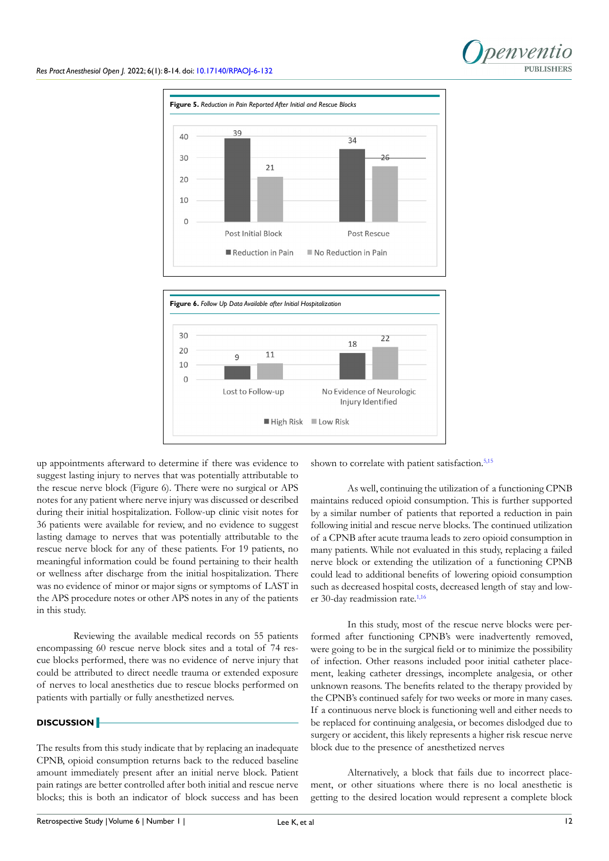



up appointments afterward to determine if there was evidence to suggest lasting injury to nerves that was potentially attributable to the rescue nerve block (Figure 6). There were no surgical or APS notes for any patient where nerve injury was discussed or described during their initial hospitalization. Follow-up clinic visit notes for 36 patients were available for review, and no evidence to suggest lasting damage to nerves that was potentially attributable to the rescue nerve block for any of these patients. For 19 patients, no meaningful information could be found pertaining to their health or wellness after discharge from the initial hospitalization. There was no evidence of minor or major signs or symptoms of LAST in the APS procedure notes or other APS notes in any of the patients in this study.

Reviewing the available medical records on 55 patients encompassing 60 rescue nerve block sites and a total of 74 rescue blocks performed, there was no evidence of nerve injury that could be attributed to direct needle trauma or extended exposure of nerves to local anesthetics due to rescue blocks performed on patients with partially or fully anesthetized nerves.

## **DISCUSSION**

The results from this study indicate that by replacing an inadequate CPNB, opioid consumption returns back to the reduced baseline amount immediately present after an initial nerve block. Patient pain ratings are better controlled after both initial and rescue nerve blocks; this is both an indicator of block success and has been

shown to correlate with patient satisfaction.<sup>[5,](#page-5-1)[15](#page-6-3)</sup>

As well, continuing the utilization of a functioning CPNB maintains reduced opioid consumption. This is further supported by a similar number of patients that reported a reduction in pain following initial and rescue nerve blocks. The continued utilization of a CPNB after acute trauma leads to zero opioid consumption in many patients. While not evaluated in this study, replacing a failed nerve block or extending the utilization of a functioning CPNB could lead to additional benefits of lowering opioid consumption such as decreased hospital costs, decreased length of stay and low-er 30-day readmission rate.<sup>1,[16](#page-6-4)</sup>

In this study, most of the rescue nerve blocks were performed after functioning CPNB's were inadvertently removed, were going to be in the surgical field or to minimize the possibility of infection. Other reasons included poor initial catheter placement, leaking catheter dressings, incomplete analgesia, or other unknown reasons. The benefits related to the therapy provided by the CPNB's continued safely for two weeks or more in many cases. If a continuous nerve block is functioning well and either needs to be replaced for continuing analgesia, or becomes dislodged due to surgery or accident, this likely represents a higher risk rescue nerve block due to the presence of anesthetized nerves

Alternatively, a block that fails due to incorrect placement, or other situations where there is no local anesthetic is getting to the desired location would represent a complete block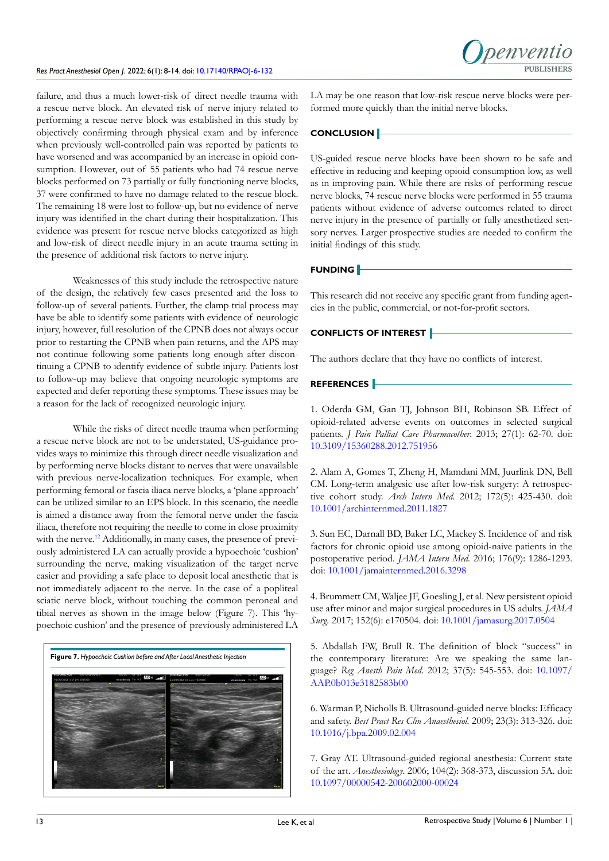#### *Res Pract Anesthesiol Open J.* 2022; 6(1): 8-14. doi: [10.17140/RPAOJ-6-132](http://dx.doi.org/10.17140/RPAOJ-6-132)

failure, and thus a much lower-risk of direct needle trauma with a rescue nerve block. An elevated risk of nerve injury related to performing a rescue nerve block was established in this study by objectively confirming through physical exam and by inference when previously well-controlled pain was reported by patients to have worsened and was accompanied by an increase in opioid consumption. However, out of 55 patients who had 74 rescue nerve blocks performed on 73 partially or fully functioning nerve blocks, 37 were confirmed to have no damage related to the rescue block. The remaining 18 were lost to follow-up, but no evidence of nerve injury was identified in the chart during their hospitalization. This evidence was present for rescue nerve blocks categorized as high and low-risk of direct needle injury in an acute trauma setting in the presence of additional risk factors to nerve injury.

Weaknesses of this study include the retrospective nature of the design, the relatively few cases presented and the loss to follow-up of several patients. Further, the clamp trial process may have be able to identify some patients with evidence of neurologic injury, however, full resolution of the CPNB does not always occur prior to restarting the CPNB when pain returns, and the APS may not continue following some patients long enough after discontinuing a CPNB to identify evidence of subtle injury. Patients lost to follow-up may believe that ongoing neurologic symptoms are expected and defer reporting these symptoms. These issues may be a reason for the lack of recognized neurologic injury.

While the risks of direct needle trauma when performing a rescue nerve block are not to be understated, US-guidance provides ways to minimize this through direct needle visualization and by performing nerve blocks distant to nerves that were unavailable with previous nerve-localization techniques. For example, when performing femoral or fascia iliaca nerve blocks, a 'plane approach' can be utilized similar to an EPS block. In this scenario, the needle is aimed a distance away from the femoral nerve under the fascia iliaca, therefore not requiring the needle to come in close proximity with the nerve.<sup>12</sup> Additionally, in many cases, the presence of previously administered LA can actually provide a hypoechoic 'cushion' surrounding the nerve, making visualization of the target nerve easier and providing a safe place to deposit local anesthetic that is not immediately adjacent to the nerve. In the case of a popliteal sciatic nerve block, without touching the common peroneal and tibial nerves as shown in the image below (Figure 7). This 'hypoechoic cushion' and the presence of previously administered LA



LA may be one reason that low-risk rescue nerve blocks were performed more quickly than the initial nerve blocks.

## **CONCLUSION**

US-guided rescue nerve blocks have been shown to be safe and effective in reducing and keeping opioid consumption low, as well as in improving pain. While there are risks of performing rescue nerve blocks, 74 rescue nerve blocks were performed in 55 trauma patients without evidence of adverse outcomes related to direct nerve injury in the presence of partially or fully anesthetized sensory nerves. Larger prospective studies are needed to confirm the initial findings of this study.

## **FUNDING**

This research did not receive any specific grant from funding agencies in the public, commercial, or not-for-profit sectors.

## **CONFLICTS OF INTEREST**

The authors declare that they have no conflicts of interest.

#### **REFERENCES**

<span id="page-5-0"></span>1. Oderda GM, Gan TJ, Johnson BH, Robinson SB. Effect of opioid-related adverse events on outcomes in selected surgical patients. *J Pain Palliat Care Pharmacother*. 2013; 27(1): 62-70. doi: [10.3109/15360288.2012.751956](http://doi.org/10.3109/15360288.2012.751956)

2. Alam A, Gomes T, Zheng H, Mamdani MM, Juurlink DN, Bell CM. Long-term analgesic use after low-risk surgery: A retrospective cohort study. *Arch Intern Med*. 2012; 172(5): 425-430. doi: [10.1001/archinternmed.2011.1827](http://doi.org/10.1001/archinternmed.2011.1827)

3. Sun EC, Darnall BD, Baker LC, Mackey S. Incidence of and risk factors for chronic opioid use among opioid-naive patients in the postoperative period. *JAMA Intern Med*. 2016; 176(9): 1286-1293. doi: [10.1001/jamainternmed.2016.3298](http://doi.org/10.1001/jamainternmed.2016.3298)

4. Brummett CM, Waljee JF, Goesling J, et al. New persistent opioid use after minor and major surgical procedures in US adults. *JAMA Surg.* 2017; 152(6): e170504. doi: [10.1001/jamasurg.2017.0504](http://doi.org/10.1001/jamasurg.2017.0504)

<span id="page-5-1"></span>5. Abdallah FW, Brull R. The definition of block "success" in the contemporary literature: Are we speaking the same language? *Reg Anesth Pain Med*. 2012; 37(5): 545-553. doi: [10.1097/](http://doi.org/10.1097/AAP.0b013e3182583b00) [AAP.0b013e3182583b00](http://doi.org/10.1097/AAP.0b013e3182583b00)

6. Warman P, Nicholls B. Ultrasound-guided nerve blocks: Efficacy and safety. *Best Pract Res Clin Anaesthesiol*. 2009; 23(3): 313-326. doi: [10.1016/j.bpa.2009.02.004](http://doi.org/10.1016/j.bpa.2009.02.004)

7. Gray AT. Ultrasound-guided regional anesthesia: Current state of the art. *Anesthesiology*. 2006; 104(2): 368-373, discussion 5A. doi: [10.1097/00000542-200602000-00024](http://doi.org/10.1097/00000542-200602000-00024)